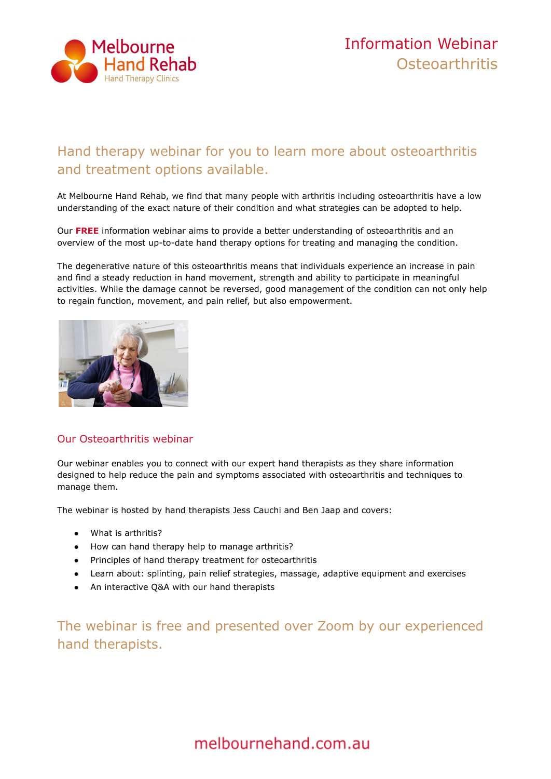

## Hand therapy webinar for you to learn more about osteoarthritis and treatment options available.

At Melbourne Hand Rehab, we find that many people with arthritis including osteoarthritis have a low understanding of the exact nature of their condition and what strategies can be adopted to help.

Our **[FREE](https://melbournehand.com.au/about-us/hand-therapy-webinars/)** information webinar aims to provide a better understanding of osteoarthritis and an overview of the most up-to-date hand therapy options for treating and managing the condition.

The degenerative nature of this osteoarthritis means that individuals experience an increase in pain and find a steady reduction in hand movement, strength and ability to participate in meaningful activities. While the damage cannot be reversed, good management of the condition can not only help to regain function, movement, and pain relief, but also empowerment.



### Our Osteoarthritis webinar

Our webinar enables you to connect with our expert hand therapists as they share information designed to help reduce the pain and symptoms associated with osteoarthritis and techniques to manage them.

The webinar is hosted by hand therapists Jess Cauchi and Ben Jaap and covers:

- What is arthritis?
- How can hand therapy help to manage arthritis?
- Principles of hand therapy treatment for osteoarthritis
- Learn about: splinting, pain relief strategies, massage, adaptive equipment and exercises
- An interactive Q&A with our hand therapists

The webinar is free and presented over Zoom by our experienced hand therapists.

# melbournehand.com.au